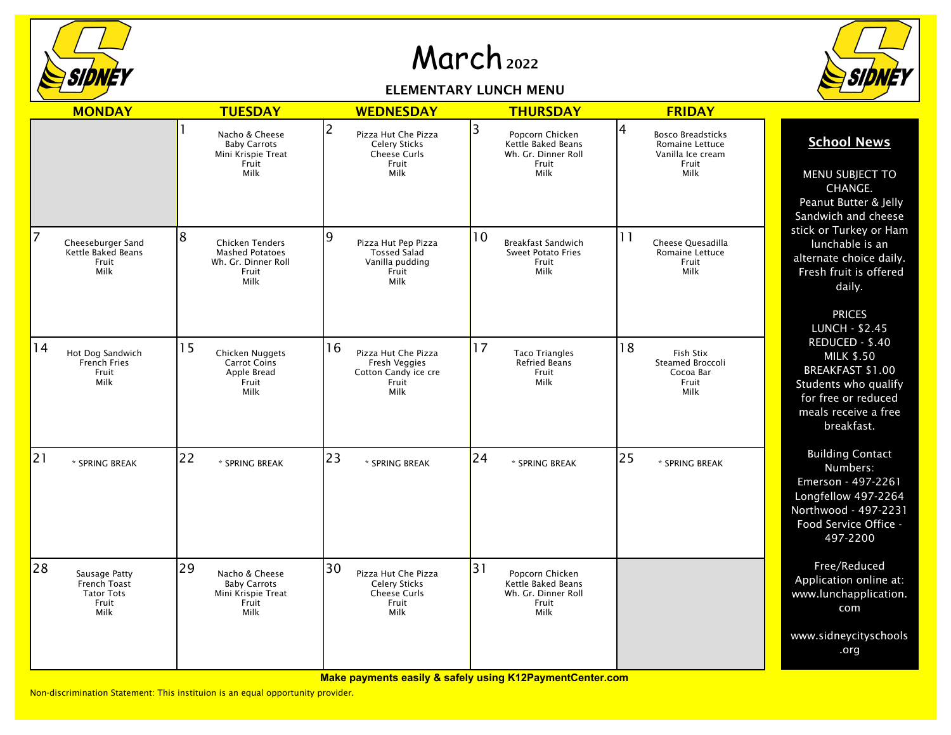

## March <sup>2022</sup>

## ELEMENTARY LUNCH MENU



|                | <b>MONDAY</b>                                                       | <b>TUESDAY</b>                                                                                | <b>WEDNESDAY</b>                                                                          | <b>THURSDAY</b>                                                                     | <b>FRIDAY</b>                                                                          |                                                                                                                                                      |
|----------------|---------------------------------------------------------------------|-----------------------------------------------------------------------------------------------|-------------------------------------------------------------------------------------------|-------------------------------------------------------------------------------------|----------------------------------------------------------------------------------------|------------------------------------------------------------------------------------------------------------------------------------------------------|
|                |                                                                     | Nacho & Cheese<br><b>Baby Carrots</b><br>Mini Krispie Treat<br>Fruit<br>Milk                  | 12<br>Pizza Hut Che Pizza<br><b>Celery Sticks</b><br><b>Cheese Curls</b><br>Fruit<br>Milk | 3<br>Popcorn Chicken<br>Kettle Baked Beans<br>Wh. Gr. Dinner Roll<br>Fruit<br>Milk  | 4<br><b>Bosco Breadsticks</b><br>Romaine Lettuce<br>Vanilla Ice cream<br>Fruit<br>Milk | <b>School News</b><br>MENU SUBJECT TO<br>CHANGE.<br>Peanut Butter & Jelly<br>Sandwich and cheese                                                     |
| $\overline{7}$ | Cheeseburger Sand<br>Kettle Baked Beans<br>Fruit<br>Milk            | 8<br><b>Chicken Tenders</b><br><b>Mashed Potatoes</b><br>Wh. Gr. Dinner Roll<br>Fruit<br>Milk | 19<br>Pizza Hut Pep Pizza<br><b>Tossed Salad</b><br>Vanilla pudding<br>Fruit<br>Milk      | 10<br>Breakfast Sandwich<br><b>Sweet Potato Fries</b><br>Fruit<br>Milk              | 11<br>Cheese Quesadilla<br>Romaine Lettuce<br>Fruit<br>Milk                            | stick or Turkey or Ham<br>lunchable is an<br>alternate choice daily.<br>Fresh fruit is offered<br>daily.<br><b>PRICES</b><br><b>LUNCH - \$2.45</b>   |
| 14             | Hot Dog Sandwich<br>French Fries<br>Fruit<br>Milk                   | 15<br>Chicken Nuggets<br><b>Carrot Coins</b><br>Apple Bread<br>Fruit<br>Milk                  | 16<br>Pizza Hut Che Pizza<br>Fresh Veggies<br>Cotton Candy ice cre<br>Fruit<br>Milk       | 17<br><b>Taco Triangles</b><br><b>Refried Beans</b><br>Fruit<br>Milk                | 18<br>Fish Stix<br>Steamed Broccoli<br>Cocoa Bar<br>Fruit<br>Milk                      | REDUCED - \$.40<br><b>MILK \$.50</b><br><b>BREAKFAST \$1.00</b><br>Students who qualify<br>for free or reduced<br>meals receive a free<br>breakfast. |
| 21             | * SPRING BREAK                                                      | 22<br>* SPRING BREAK                                                                          | 23<br>* SPRING BREAK                                                                      | 24<br>* SPRING BREAK                                                                | 25<br>* SPRING BREAK                                                                   | <b>Building Contact</b><br>Numbers:<br>Emerson - 497-2261<br>Longfellow 497-2264<br>Northwood - 497-2231<br>Food Service Office -<br>497-2200        |
| 28             | Sausage Patty<br>French Toast<br><b>Tator Tots</b><br>Fruit<br>Milk | 29<br>Nacho & Cheese<br><b>Baby Carrots</b><br>Mini Krispie Treat<br>Fruit<br>Milk            | 30<br>Pizza Hut Che Pizza<br><b>Celery Sticks</b><br><b>Cheese Curls</b><br>Fruit<br>Milk | 31<br>Popcorn Chicken<br>Kettle Baked Beans<br>Wh. Gr. Dinner Roll<br>Fruit<br>Milk |                                                                                        | Free/Reduced<br>Application online at:<br>www.lunchapplication.<br>com                                                                               |
|                |                                                                     |                                                                                               |                                                                                           |                                                                                     |                                                                                        | www.sidneycityschools<br>.org                                                                                                                        |

**Make payments easily & safely using K12PaymentCenter.com**

Non-discrimination Statement: This instituion is an equal opportunity provider.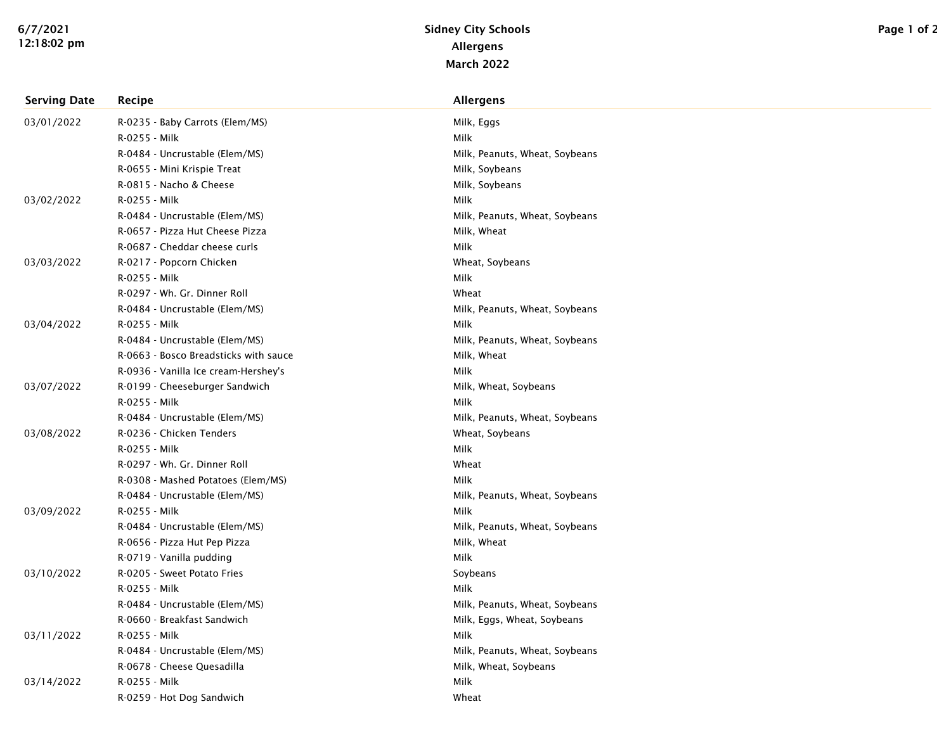| <b>Serving Date</b> | Recipe                                | <b>Allergens</b>               |
|---------------------|---------------------------------------|--------------------------------|
| 03/01/2022          | R-0235 - Baby Carrots (Elem/MS)       | Milk, Eggs                     |
|                     | R-0255 - Milk                         | Milk                           |
|                     | R-0484 - Uncrustable (Elem/MS)        | Milk, Peanuts, Wheat, Soybeans |
|                     | R-0655 - Mini Krispie Treat           | Milk, Soybeans                 |
|                     | R-0815 - Nacho & Cheese               | Milk, Soybeans                 |
| 03/02/2022          | R-0255 - Milk                         | Milk                           |
|                     | R-0484 - Uncrustable (Elem/MS)        | Milk, Peanuts, Wheat, Soybeans |
|                     | R-0657 - Pizza Hut Cheese Pizza       | Milk, Wheat                    |
|                     | R-0687 - Cheddar cheese curls         | Milk                           |
| 03/03/2022          | R-0217 - Popcorn Chicken              | Wheat, Soybeans                |
|                     | R-0255 - Milk                         | Milk                           |
|                     | R-0297 - Wh. Gr. Dinner Roll          | Wheat                          |
|                     | R-0484 - Uncrustable (Elem/MS)        | Milk, Peanuts, Wheat, Soybeans |
| 03/04/2022          | R-0255 - Milk                         | Milk                           |
|                     | R-0484 - Uncrustable (Elem/MS)        | Milk, Peanuts, Wheat, Soybeans |
|                     | R-0663 - Bosco Breadsticks with sauce | Milk, Wheat                    |
|                     | R-0936 - Vanilla Ice cream-Hershey's  | Milk                           |
| 03/07/2022          | R-0199 - Cheeseburger Sandwich        | Milk, Wheat, Soybeans          |
|                     | R-0255 - Milk                         | Milk                           |
|                     | R-0484 - Uncrustable (Elem/MS)        | Milk, Peanuts, Wheat, Soybeans |
| 03/08/2022          | R-0236 - Chicken Tenders              | Wheat, Soybeans                |
|                     | R-0255 - Milk                         | Milk                           |
|                     | R-0297 - Wh. Gr. Dinner Roll          | Wheat                          |
|                     | R-0308 - Mashed Potatoes (Elem/MS)    | Milk                           |
|                     | R-0484 - Uncrustable (Elem/MS)        | Milk, Peanuts, Wheat, Soybeans |
| 03/09/2022          | R-0255 - Milk                         | Milk                           |
|                     | R-0484 - Uncrustable (Elem/MS)        | Milk, Peanuts, Wheat, Soybeans |
|                     | R-0656 - Pizza Hut Pep Pizza          | Milk, Wheat                    |
|                     | R-0719 - Vanilla pudding              | Milk                           |
| 03/10/2022          | R-0205 - Sweet Potato Fries           | Soybeans                       |
|                     | R-0255 - Milk                         | Milk                           |
|                     | R-0484 - Uncrustable (Elem/MS)        | Milk, Peanuts, Wheat, Soybeans |
|                     | R-0660 - Breakfast Sandwich           | Milk, Eggs, Wheat, Soybeans    |
| 03/11/2022          | R-0255 - Milk                         | Milk                           |
|                     | R-0484 - Uncrustable (Elem/MS)        | Milk, Peanuts, Wheat, Soybeans |
|                     | R-0678 - Cheese Quesadilla            | Milk, Wheat, Soybeans          |
| 03/14/2022          | R-0255 - Milk                         | Milk                           |
|                     | R-0259 - Hot Dog Sandwich             | Wheat                          |